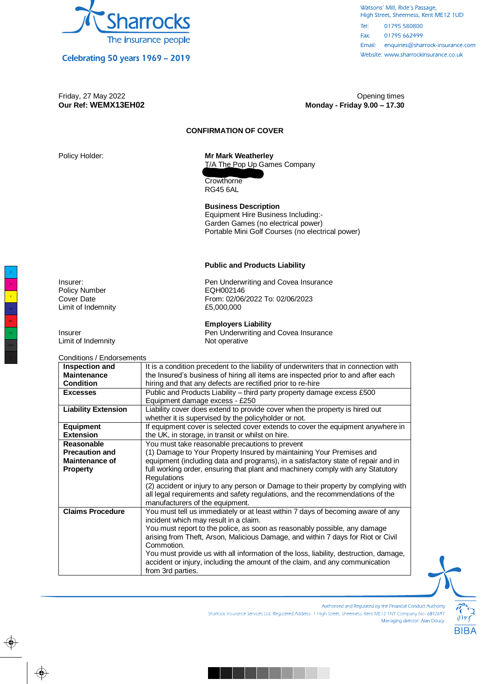

Celebrating 50 years 1969 - 2019

#### Watsons' Mill, Ride's Passage, High Street, Sheerness, Kent ME12 1UD  $Tel:$ 01795 580800 Fax: 01795 662499 Email: enquiries@sharrock-insurance.com Website: www.sharrockinsurance.co.uk

### Friday, 27 May 2022 Opening times **Our Ref: WEMX13EH02 Monday - Friday 9.00 – 17.30**

# **CONFIRMATION OF COVER**

# Policy Holder: **Mr Mark Weatherley**

T/A The Pop Up Games Company 2 Wellesley Drive

**Crowthorne** RG45 6AL

**Business Description**  Equipment Hire Business Including:- Garden Games (no electrical power) Portable Mini Golf Courses (no electrical power)

### **Public and Products Liability**

Insurer:<br>
Pen Underwriting and Covea Insurance<br>
Policy Number<br>
POH002146 From: 02/06/2022 To: 02/06/2023<br>£5,000,000

**Employers Liability** 

Insurer **Insurer Pen Underwriting and Covea Insurance** 

Limit of Indemnity **Not operative** Not operative

Conditions / Endorsements

| 011911101137 LT19013CITICI113                                                         |
|---------------------------------------------------------------------------------------|
| It is a condition precedent to the liability of underwriters that in connection with  |
| the Insured's business of hiring all items are inspected prior to and after each      |
| hiring and that any defects are rectified prior to re-hire                            |
| Public and Products Liability - third party property damage excess £500               |
| Equipment damage excess - £250                                                        |
| Liability cover does extend to provide cover when the property is hired out           |
| whether it is supervised by the policyholder or not.                                  |
| If equipment cover is selected cover extends to cover the equipment anywhere in       |
| the UK, in storage, in transit or whilst on hire.                                     |
| You must take reasonable precautions to prevent                                       |
| (1) Damage to Your Property Insured by maintaining Your Premises and                  |
| equipment (including data and programs), in a satisfactory state of repair and in     |
| full working order, ensuring that plant and machinery comply with any Statutory       |
| Regulations                                                                           |
| (2) accident or injury to any person or Damage to their property by complying with    |
| all legal requirements and safety regulations, and the recommendations of the         |
| manufacturers of the equipment.                                                       |
| You must tell us immediately or at least within 7 days of becoming aware of any       |
| incident which may result in a claim.                                                 |
| You must report to the police, as soon as reasonably possible, any damage             |
| arising from Theft, Arson, Malicious Damage, and within 7 days for Riot or Civil      |
| Commotion.                                                                            |
| You must provide us with all information of the loss, liability, destruction, damage, |
| accident or injury, including the amount of the claim, and any communication          |
| from 3rd parties.                                                                     |
|                                                                                       |



Authorised and Regulated by the Financial Conduct Authority

Sharrock Insurance Services Ltd. Registered Address: 1 High Street, Sheemess, Kent ME12 1NY. Company No. 6842697 Managing director: Alan Doucy

Policy Number<br>Cover Date Limit of Indemnity

MY CY

M Y

 $\bigoplus$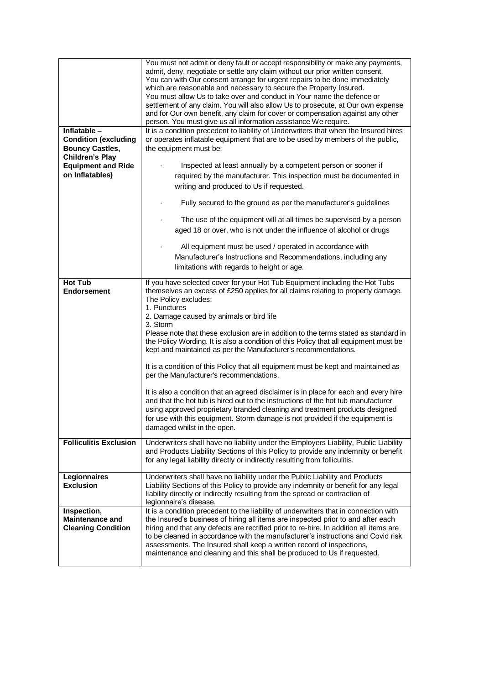| Inflatable -<br><b>Condition (excluding</b><br><b>Bouncy Castles,</b><br><b>Children's Play</b><br><b>Equipment and Ride</b><br>on Inflatables) | You must not admit or deny fault or accept responsibility or make any payments,<br>admit, deny, negotiate or settle any claim without our prior written consent.<br>You can with Our consent arrange for urgent repairs to be done immediately<br>which are reasonable and necessary to secure the Property Insured.<br>You must allow Us to take over and conduct in Your name the defence or<br>settlement of any claim. You will also allow Us to prosecute, at Our own expense<br>and for Our own benefit, any claim for cover or compensation against any other<br>person. You must give us all information assistance We require.<br>It is a condition precedent to liability of Underwriters that when the Insured hires<br>or operates inflatable equipment that are to be used by members of the public,<br>the equipment must be:<br>Inspected at least annually by a competent person or sooner if<br>required by the manufacturer. This inspection must be documented in<br>writing and produced to Us if requested. |
|-------------------------------------------------------------------------------------------------------------------------------------------------|----------------------------------------------------------------------------------------------------------------------------------------------------------------------------------------------------------------------------------------------------------------------------------------------------------------------------------------------------------------------------------------------------------------------------------------------------------------------------------------------------------------------------------------------------------------------------------------------------------------------------------------------------------------------------------------------------------------------------------------------------------------------------------------------------------------------------------------------------------------------------------------------------------------------------------------------------------------------------------------------------------------------------------|
|                                                                                                                                                 | Fully secured to the ground as per the manufacturer's guidelines                                                                                                                                                                                                                                                                                                                                                                                                                                                                                                                                                                                                                                                                                                                                                                                                                                                                                                                                                                 |
|                                                                                                                                                 | The use of the equipment will at all times be supervised by a person<br>aged 18 or over, who is not under the influence of alcohol or drugs                                                                                                                                                                                                                                                                                                                                                                                                                                                                                                                                                                                                                                                                                                                                                                                                                                                                                      |
|                                                                                                                                                 | All equipment must be used / operated in accordance with<br>Manufacturer's Instructions and Recommendations, including any<br>limitations with regards to height or age.                                                                                                                                                                                                                                                                                                                                                                                                                                                                                                                                                                                                                                                                                                                                                                                                                                                         |
| <b>Hot Tub</b><br><b>Endorsement</b>                                                                                                            | If you have selected cover for your Hot Tub Equipment including the Hot Tubs<br>themselves an excess of £250 applies for all claims relating to property damage.                                                                                                                                                                                                                                                                                                                                                                                                                                                                                                                                                                                                                                                                                                                                                                                                                                                                 |
|                                                                                                                                                 | The Policy excludes:<br>1. Punctures                                                                                                                                                                                                                                                                                                                                                                                                                                                                                                                                                                                                                                                                                                                                                                                                                                                                                                                                                                                             |
|                                                                                                                                                 | 2. Damage caused by animals or bird life<br>3. Storm                                                                                                                                                                                                                                                                                                                                                                                                                                                                                                                                                                                                                                                                                                                                                                                                                                                                                                                                                                             |
|                                                                                                                                                 | Please note that these exclusion are in addition to the terms stated as standard in<br>the Policy Wording. It is also a condition of this Policy that all equipment must be<br>kept and maintained as per the Manufacturer's recommendations.                                                                                                                                                                                                                                                                                                                                                                                                                                                                                                                                                                                                                                                                                                                                                                                    |
|                                                                                                                                                 | It is a condition of this Policy that all equipment must be kept and maintained as<br>per the Manufacturer's recommendations.                                                                                                                                                                                                                                                                                                                                                                                                                                                                                                                                                                                                                                                                                                                                                                                                                                                                                                    |
|                                                                                                                                                 | It is also a condition that an agreed disclaimer is in place for each and every hire<br>and that the hot tub is hired out to the instructions of the hot tub manufacturer<br>using approved proprietary branded cleaning and treatment products designed<br>for use with this equipment. Storm damage is not provided if the equipment is<br>damaged whilst in the open.                                                                                                                                                                                                                                                                                                                                                                                                                                                                                                                                                                                                                                                         |
| <b>Folliculitis Exclusion</b>                                                                                                                   | Underwriters shall have no liability under the Employers Liability, Public Liability<br>and Products Liability Sections of this Policy to provide any indemnity or benefit<br>for any legal liability directly or indirectly resulting from folliculitis.                                                                                                                                                                                                                                                                                                                                                                                                                                                                                                                                                                                                                                                                                                                                                                        |
| Legionnaires<br><b>Exclusion</b>                                                                                                                | Underwriters shall have no liability under the Public Liability and Products<br>Liability Sections of this Policy to provide any indemnity or benefit for any legal<br>liability directly or indirectly resulting from the spread or contraction of<br>legionnaire's disease.                                                                                                                                                                                                                                                                                                                                                                                                                                                                                                                                                                                                                                                                                                                                                    |
| Inspection,<br><b>Maintenance and</b><br><b>Cleaning Condition</b>                                                                              | It is a condition precedent to the liability of underwriters that in connection with<br>the Insured's business of hiring all items are inspected prior to and after each<br>hiring and that any defects are rectified prior to re-hire. In addition all items are<br>to be cleaned in accordance with the manufacturer's instructions and Covid risk<br>assessments. The Insured shall keep a written record of inspections,<br>maintenance and cleaning and this shall be produced to Us if requested.                                                                                                                                                                                                                                                                                                                                                                                                                                                                                                                          |